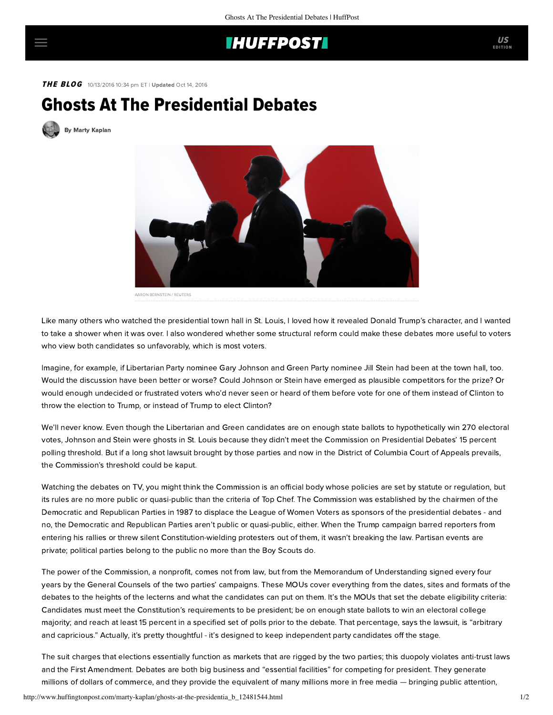## **IHUFFPOSTI**

THE BLOG 10/13/2016 10:34 pm ET | Updated Oct 14, 2016

## Ghosts At The Presidential Debates

[By Marty Kaplan](http://www.huffingtonpost.com/author/marty-kaplan)



AARON BERNSTEIN / REUTERS

Like many others who watched the presidential town hall in St. Louis, I loved how it revealed Donald Trump's character, and I wanted to take a shower when it was over. I also wondered whether some structural reform could make these debates more useful to voters who view both candidates so unfavorably, which is most voters.

Imagine, for example, if Libertarian Party nominee Gary Johnson and Green Party nominee Jill Stein had been at the town hall, too. Would the discussion have been better or worse? Could Johnson or Stein have emerged as plausible competitors for the prize? Or would enough undecided or frustrated voters who'd never seen or heard of them before vote for one of them instead of Clinton to throw the election to Trump, or instead of Trump to elect Clinton?

We'll never know. Even though the Libertarian and Green candidates are on enough state ballots to hypothetically win 270 electoral votes, Johnson and Stein were ghosts in St. Louis because they didn't meet the Commission on Presidential Debates' 15 percent polling threshold. But if a long shot [lawsuit](https://www.washingtonpost.com/news/post-politics/wp/2016/08/05/third-party-candidates-lose-legal-fight-to-get-into-debates/) brought by those parties and now in the District of Columbia Court of Appeals prevails, the Commission's threshold could be kaput.

Watching the debates on TV, you might think the Commission is an official body whose policies are set by statute or regulation, but its rules are no more public or quasi-public than the criteria of Top Chef. The Commission was established by the chairmen of the Democratic and Republican Parties in 1987 to displace the League of Women Voters as sponsors of the presidential debates - and no, the Democratic and Republican Parties aren't public or quasi-public, either. When the Trump campaign [barred](https://www.washingtonpost.com/news/the-fix/wp/2016/06/13/donald-trump-just-banned-the-washington-post-from-covering-him-that-should-bother-everyone/) reporters from entering his rallies or [threw](http://www.cnn.com/2016/08/04/politics/donald-trump-protests-constitution/) silent Constitution-wielding protesters out of them, it wasn't breaking the law. Partisan events are private; political parties belong to the public no more than the Boy Scouts do.

The power of the Commission, a nonprofit, comes not from law, but from the Memorandum of Understanding signed every four years by the General Counsels of the two parties' campaigns. These MOUs cover everything from the dates, sites and formats of the debates to the heights of the lecterns and what the candidates can put on them. It's the MOUs that set the debate eligibility criteria: Candidates must meet the Constitution's requirements to be president; be on enough state ballots to win an electoral college majority; and reach at least 15 percent in a specified set of polls prior to the debate. That percentage, says the lawsuit, is "arbitrary and capricious." Actually, it's pretty thoughtful - it's designed to keep independent party candidates off the stage.

The suit charges that elections essentially function as markets that are rigged by the two parties; this duopoly violates anti-trust laws and the First Amendment. Debates are both big business and "essential facilities" for competing for president. They generate millions of dollars of commerce, and they provide the equivalent of many millions more in free media — bringing public attention,